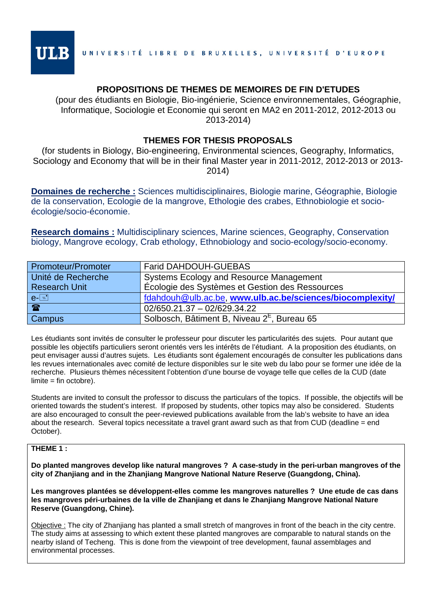

# **PROPOSITIONS DE THEMES DE MEMOIRES DE FIN D'ETUDES**

(pour des étudiants en Biologie, Bio-ingénierie, Science environnementales, Géographie, Informatique, Sociologie et Economie qui seront en MA2 en 2011-2012, 2012-2013 ou 2013-2014)

# **THEMES FOR THESIS PROPOSALS**

(for students in Biology, Bio-engineering, Environmental sciences, Geography, Informatics, Sociology and Economy that will be in their final Master year in 2011-2012, 2012-2013 or 2013- 2014)

**Domaines de recherche :** Sciences multidisciplinaires, Biologie marine, Géographie, Biologie de la conservation, Ecologie de la mangrove, Ethologie des crabes, Ethnobiologie et socioécologie/socio-économie.

**Research domains :** Multidisciplinary sciences, Marine sciences, Geography, Conservation biology, Mangrove ecology, Crab ethology, Ethnobiology and socio-ecology/socio-economy.

| Promoteur/Promoter   | <b>Farid DAHDOUH-GUEBAS</b>                               |
|----------------------|-----------------------------------------------------------|
| Unité de Recherche   | Systems Ecology and Resource Management                   |
| <b>Research Unit</b> | Écologie des Systèmes et Gestion des Ressources           |
| $e$ - $\boxed{=}$    | fdahdouh@ulb.ac.be, www.ulb.ac.be/sciences/biocomplexity/ |
| $\mathbf{P}$         | 02/650.21.37 - 02/629.34.22                               |
| Campus               | Solbosch, Bâtiment B, Niveau 2 <sup>E</sup> , Bureau 65   |

Les étudiants sont invités de consulter le professeur pour discuter les particularités des sujets. Pour autant que possible les objectifs particuliers seront orientés vers les intérêts de l'étudiant. A la proposition des étudiants, on peut envisager aussi d'autres sujets. Les étudiants sont également encouragés de consulter les publications dans les revues internationales avec comité de lecture disponibles sur le site web du labo pour se former une idée de la recherche. Plusieurs thèmes nécessitent l'obtention d'une bourse de voyage telle que celles de la CUD (date limite = fin octobre).

Students are invited to consult the professor to discuss the particulars of the topics. If possible, the objectifs will be oriented towards the student's interest. If proposed by students, other topics may also be considered. Students are also encouraged to consult the peer-reviewed publications available from the lab's website to have an idea about the research. Several topics necessitate a travel grant award such as that from CUD (deadline = end October).

## **THEME 1 :**

**Do planted mangroves develop like natural mangroves ? A case-study in the peri-urban mangroves of the city of Zhanjiang and in the Zhanjiang Mangrove National Nature Reserve (Guangdong, China).** 

**Les mangroves plantées se développent-elles comme les mangroves naturelles ? Une etude de cas dans les mangroves péri-urbaines de la ville de Zhanjiang et dans le Zhanjiang Mangrove National Nature Reserve (Guangdong, Chine).** 

Objective : The city of Zhanjiang has planted a small stretch of mangroves in front of the beach in the city centre. The study aims at assessing to which extent these planted mangroves are comparable to natural stands on the nearby island of Techeng. This is done from the viewpoint of tree development, faunal assemblages and environmental processes.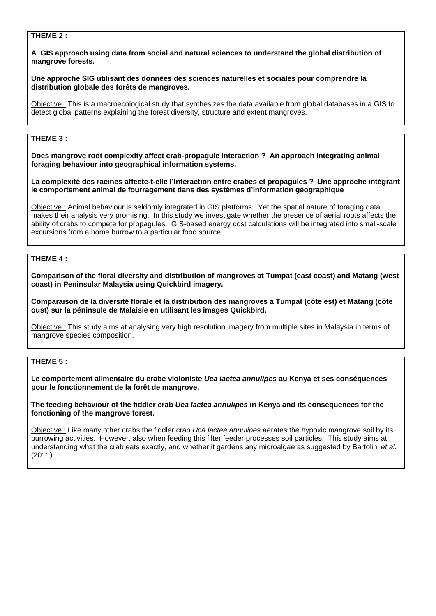### **THEME 2 :**

#### **A GIS approach using data from social and natural sciences to understand the global distribution of mangrove forests.**

#### **Une approche SIG utilisant des données des sciences naturelles et sociales pour comprendre la distribution globale des forêts de mangroves.**

Objective : This is a macroecological study that synthesizes the data available from global databases in a GIS to detect global patterns explaining the forest diversity, structure and extent mangroves.

# **THEME 3 :**

**Does mangrove root complexity affect crab-propagule interaction ? An approach integrating animal foraging behaviour into geographical information systems.** 

**La complexité des racines affecte-t-elle l'Interaction entre crabes et propagules ? Une approche intégrant le comportement animal de fourragement dans des systèmes d'information géographique** 

Objective : Animal behaviour is seldomly integrated in GIS platforms. Yet the spatial nature of foraging data makes their analysis very promising. In this study we investigate whether the presence of aerial roots affects the ability of crabs to compete for propagules. GIS-based energy cost calculations will be integrated into small-scale excursions from a home burrow to a particular food source.

# **THEME 4 :**

**Comparison of the floral diversity and distribution of mangroves at Tumpat (east coast) and Matang (west coast) in Peninsular Malaysia using Quickbird imagery.** 

**Comparaison de la diversité florale et la distribution des mangroves à Tumpat (côte est) et Matang (côte oust) sur la péninsule de Malaisie en utilisant les images Quickbird.** 

Objective : This study aims at analysing very high resolution imagery from multiple sites in Malaysia in terms of mangrove species composition.

#### **THEME 5 :**

**Le comportement alimentaire du crabe violoniste** *Uca lactea annulipes* **au Kenya et ses conséquences pour le fonctionnement de la forêt de mangrove.** 

**The feeding behaviour of the fiddler crab** *Uca lactea annulipes* **in Kenya and its consequences for the fonctioning of the mangrove forest.** 

Objective : Like many other crabs the fiddler crab *Uca lactea annulipes* aerates the hypoxic mangrove soil by its burrowing activities. However, also when feeding this filter feeder processes soil particles. This study aims at understanding what the crab eats exactly, and whether it gardens any microalgae as suggested by Bartolini *et al.* (2011).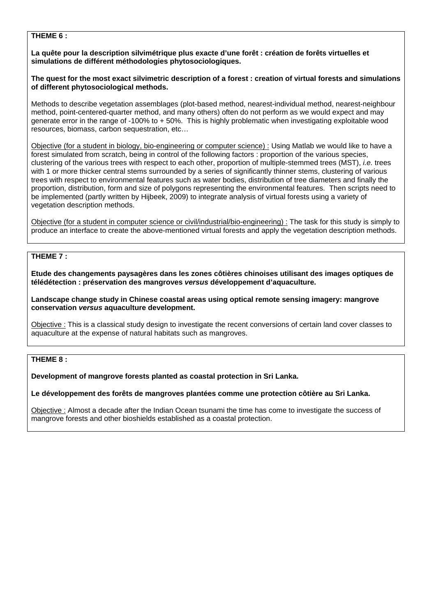#### **THEME 6 :**

**La quête pour la description silvimétrique plus exacte d'une forêt : création de forêts virtuelles et simulations de différent méthodologies phytosociologiques.** 

#### **The quest for the most exact silvimetric description of a forest : creation of virtual forests and simulations of different phytosociological methods.**

Methods to describe vegetation assemblages (plot-based method, nearest-individual method, nearest-neighbour method, point-centered-quarter method, and many others) often do not perform as we would expect and may generate error in the range of -100% to + 50%. This is highly problematic when investigating exploitable wood resources, biomass, carbon sequestration, etc…

Objective (for a student in biology, bio-engineering or computer science) : Using Matlab we would like to have a forest simulated from scratch, being in control of the following factors : proportion of the various species, clustering of the various trees with respect to each other, proportion of multiple-stemmed trees (MST), *i.e.* trees with 1 or more thicker central stems surrounded by a series of significantly thinner stems, clustering of various trees with respect to environmental features such as water bodies, distribution of tree diameters and finally the proportion, distribution, form and size of polygons representing the environmental features. Then scripts need to be implemented (partly written by Hijbeek, 2009) to integrate analysis of virtual forests using a variety of vegetation description methods.

Objective (for a student in computer science or civil/industrial/bio-engineering) : The task for this study is simply to produce an interface to create the above-mentioned virtual forests and apply the vegetation description methods.

# **THEME 7 :**

**Etude des changements paysagères dans les zones côtières chinoises utilisant des images optiques de télédétection : préservation des mangroves** *versus* **développement d'aquaculture.** 

**Landscape change study in Chinese coastal areas using optical remote sensing imagery: mangrove conservation** *versus* **aquaculture development.** 

Objective : This is a classical study design to investigate the recent conversions of certain land cover classes to aquaculture at the expense of natural habitats such as mangroves.

# **THEME 8 :**

#### **Development of mangrove forests planted as coastal protection in Sri Lanka.**

#### **Le développement des forêts de mangroves plantées comme une protection côtière au Sri Lanka.**

Objective : Almost a decade after the Indian Ocean tsunami the time has come to investigate the success of mangrove forests and other bioshields established as a coastal protection.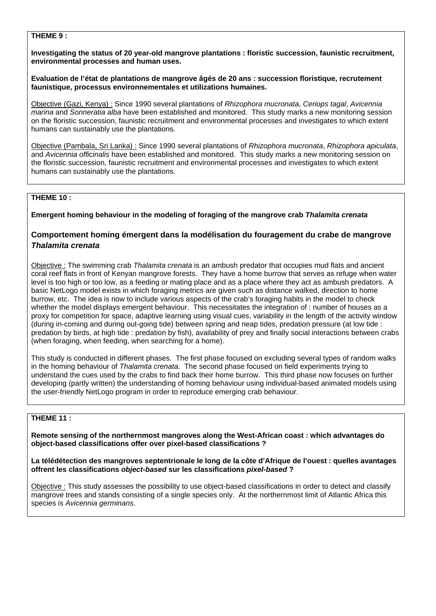#### **THEME 9 :**

**Investigating the status of 20 year-old mangrove plantations : floristic succession, faunistic recruitment, environmental processes and human uses.** 

**Evaluation de l'état de plantations de mangrove âgés de 20 ans : succession floristique, recrutement faunistique, processus environnementales et utilizations humaines.** 

Objective (Gazi, Kenya) : Since 1990 several plantations of *Rhizophora mucronata*, *Ceriops tagal*, *Avicennia marina* and *Sonneratia alba* have been established and monitored. This study marks a new monitoring session on the floristic succession, faunistic recruitment and environmental processes and investigates to which extent humans can sustainably use the plantations.

Objective (Pambala, Sri Lanka) : Since 1990 several plantations of *Rhizophora mucronata*, *Rhizophora apiculata*, and *Avicennia officinalis* have been established and monitored. This study marks a new monitoring session on the floristic succession, faunistic recruitment and environmental processes and investigates to which extent humans can sustainably use the plantations.

### **THEME 10 :**

#### **Emergent homing behaviour in the modeling of foraging of the mangrove crab** *Thalamita crenata*

# **Comportement homing émergent dans la modélisation du fouragement du crabe de mangrove**  *Thalamita crenata*

Objective : The swimming crab *Thalamita crenata* is an ambush predator that occupies mud flats and ancient coral reef flats in front of Kenyan mangrove forests. They have a home burrow that serves as refuge when water level is too high or too low, as a feeding or mating place and as a place where they act as ambush predators. A basic NetLogo model exists in which foraging metrics are given such as distance walked, direction to home burrow, etc. The idea is now to include various aspects of the crab's foraging habits in the model to check whether the model displays emergent behaviour. This necessitates the integration of : number of houses as a proxy for competition for space, adaptive learning using visual cues, variability in the length of the activity window (during in-coming and during out-going tide) between spring and neap tides, predation pressure (at low tide : predation by birds, at high tide : predation by fish), availability of prey and finally social interactions between crabs (when foraging, when feeding, when searching for a home).

This study is conducted in different phases. The first phase focused on excluding several types of random walks in the homing behaviour of *Thalamita crenata*. The second phase focused on field experiments trying to understand the cues used by the crabs to find back their home burrow. This third phase now focuses on further developing (partly written) the understanding of homing behaviour using individual-based animated models using the user-friendly NetLogo program in order to reproduce emerging crab behaviour.

# **THEME 11 :**

**Remote sensing of the northernmost mangroves along the West-African coast : which advantages do object-based classifications offer over pixel-based classifications ?** 

**La télédétection des mangroves septentrionale le long de la côte d'Afrique de l'ouest : quelles avantages offrent les classifications** *object-based* **sur les classifications** *pixel-based* **?** 

Objective : This study assesses the possibility to use object-based classifications in order to detect and classify mangrove trees and stands consisting of a single species only. At the northernmost limit of Atlantic Africa this species is *Avicennia germinans*.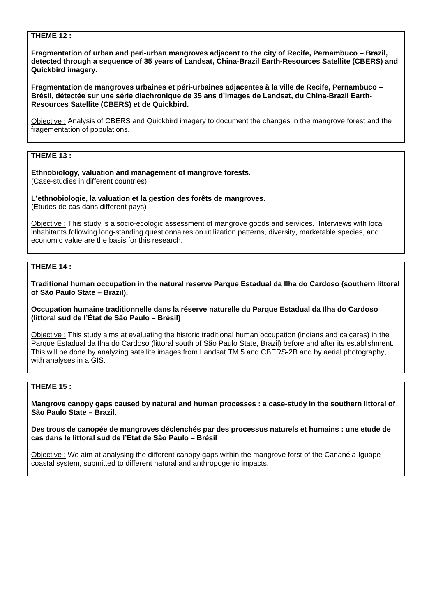#### **THEME 12 :**

**Fragmentation of urban and peri-urban mangroves adjacent to the city of Recife, Pernambuco – Brazil, detected through a sequence of 35 years of Landsat, China-Brazil Earth-Resources Satellite (CBERS) and Quickbird imagery.** 

**Fragmentation de mangroves urbaines et péri-urbaines adjacentes à la ville de Recife, Pernambuco – Brésil, détectée sur une série diachronique de 35 ans d'images de Landsat, du China-Brazil Earth-Resources Satellite (CBERS) et de Quickbird.** 

Objective : Analysis of CBERS and Quickbird imagery to document the changes in the mangrove forest and the fragementation of populations.

# **THEME 13 :**

**Ethnobiology, valuation and management of mangrove forests.**  (Case-studies in different countries)

**L'ethnobiologie, la valuation et la gestion des forêts de mangroves.** (Etudes de cas dans different pays)

Objective : This study is a socio-ecologic assessment of mangrove goods and services. Interviews with local inhabitants following long-standing questionnaires on utilization patterns, diversity, marketable species, and economic value are the basis for this research.

#### **THEME 14 :**

**Traditional human occupation in the natural reserve Parque Estadual da Ilha do Cardoso (southern littoral of São Paulo State – Brazil).** 

#### **Occupation humaine traditionnelle dans la réserve naturelle du Parque Estadual da Ilha do Cardoso (littoral sud de l'État de São Paulo – Brésil)**

Objective : This study aims at evaluating the historic traditional human occupation (indians and caiçaras) in the Parque Estadual da Ilha do Cardoso (littoral south of São Paulo State, Brazil) before and after its establishment. This will be done by analyzing satellite images from Landsat TM 5 and CBERS-2B and by aerial photography, with analyses in a GIS.

#### **THEME 15 :**

**Mangrove canopy gaps caused by natural and human processes : a case-study in the southern littoral of São Paulo State – Brazil.**

**Des trous de canopée de mangroves déclenchés par des processus naturels et humains : une etude de cas dans le littoral sud de l'État de São Paulo – Brésil** 

Objective : We aim at analysing the different canopy gaps within the mangrove forst of the Cananéia-Iguape coastal system, submitted to different natural and anthropogenic impacts.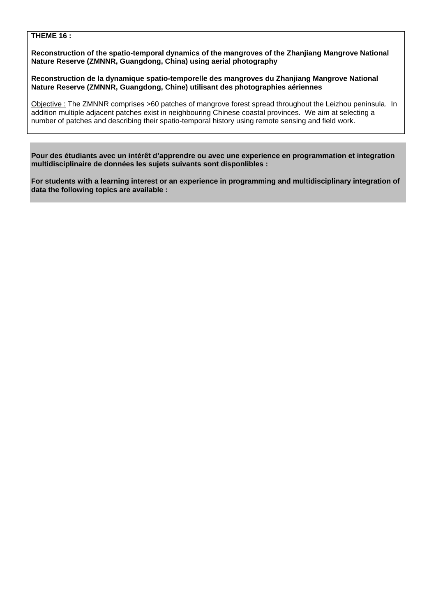#### **THEME 16 :**

**Reconstruction of the spatio-temporal dynamics of the mangroves of the Zhanjiang Mangrove National Nature Reserve (ZMNNR, Guangdong, China) using aerial photography** 

**Reconstruction de la dynamique spatio-temporelle des mangroves du Zhanjiang Mangrove National Nature Reserve (ZMNNR, Guangdong, Chine) utilisant des photographies aériennes** 

Objective : The ZMNNR comprises >60 patches of mangrove forest spread throughout the Leizhou peninsula. In addition multiple adjacent patches exist in neighbouring Chinese coastal provinces. We aim at selecting a number of patches and describing their spatio-temporal history using remote sensing and field work.

**Pour des étudiants avec un intérêt d'apprendre ou avec une experience en programmation et integration multidisciplinaire de données les sujets suivants sont disponlibles :** 

**For students with a learning interest or an experience in programming and multidisciplinary integration of data the following topics are available :**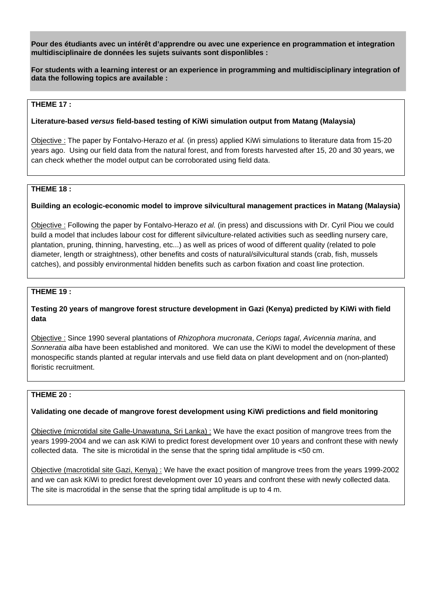**Pour des étudiants avec un intérêt d'apprendre ou avec une experience en programmation et integration multidisciplinaire de données les sujets suivants sont disponlibles :** 

**For students with a learning interest or an experience in programming and multidisciplinary integration of data the following topics are available :** 

### **THEME 17 :**

# **Literature-based** *versus* **field-based testing of KiWi simulation output from Matang (Malaysia)**

Objective : The paper by Fontalvo-Herazo *et al.* (in press) applied KiWi simulations to literature data from 15-20 years ago. Using our field data from the natural forest, and from forests harvested after 15, 20 and 30 years, we can check whether the model output can be corroborated using field data.

# **THEME 18 :**

# **Building an ecologic-economic model to improve silvicultural management practices in Matang (Malaysia)**

Objective : Following the paper by Fontalvo-Herazo *et al.* (in press) and discussions with Dr. Cyril Piou we could build a model that includes labour cost for different silviculture-related activities such as seedling nursery care, plantation, pruning, thinning, harvesting, etc...) as well as prices of wood of different quality (related to pole diameter, length or straightness), other benefits and costs of natural/silvicultural stands (crab, fish, mussels catches), and possibly environmental hidden benefits such as carbon fixation and coast line protection.

### **THEME 19 :**

# **Testing 20 years of mangrove forest structure development in Gazi (Kenya) predicted by KiWi with field data**

Objective : Since 1990 several plantations of *Rhizophora mucronata*, *Ceriops tagal*, *Avicennia marina*, and *Sonneratia alba* have been established and monitored. We can use the KiWi to model the development of these monospecific stands planted at regular intervals and use field data on plant development and on (non-planted) floristic recruitment.

#### **THEME 20 :**

# **Validating one decade of mangrove forest development using KiWi predictions and field monitoring**

Objective (microtidal site Galle-Unawatuna, Sri Lanka) : We have the exact position of mangrove trees from the years 1999-2004 and we can ask KiWi to predict forest development over 10 years and confront these with newly collected data. The site is microtidal in the sense that the spring tidal amplitude is <50 cm.

Objective (macrotidal site Gazi, Kenya) : We have the exact position of mangrove trees from the years 1999-2002 and we can ask KiWi to predict forest development over 10 years and confront these with newly collected data. The site is macrotidal in the sense that the spring tidal amplitude is up to 4 m.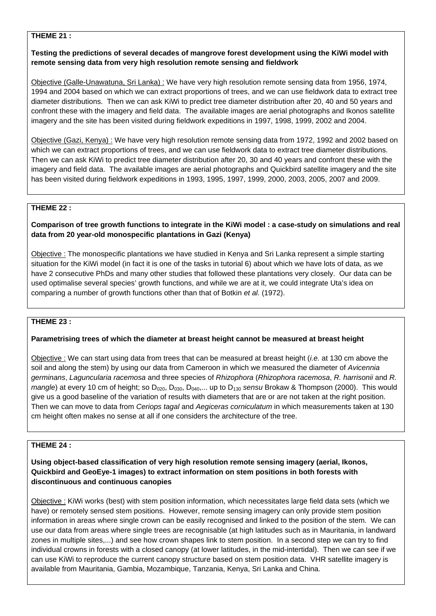#### **THEME 21 :**

# **Testing the predictions of several decades of mangrove forest development using the KiWi model with remote sensing data from very high resolution remote sensing and fieldwork**

Objective (Galle-Unawatuna, Sri Lanka) : We have very high resolution remote sensing data from 1956, 1974, 1994 and 2004 based on which we can extract proportions of trees, and we can use fieldwork data to extract tree diameter distributions. Then we can ask KiWi to predict tree diameter distribution after 20, 40 and 50 years and confront these with the imagery and field data. The available images are aerial photographs and Ikonos satellite imagery and the site has been visited during fieldwork expeditions in 1997, 1998, 1999, 2002 and 2004.

Objective (Gazi, Kenya) : We have very high resolution remote sensing data from 1972, 1992 and 2002 based on which we can extract proportions of trees, and we can use fieldwork data to extract tree diameter distributions. Then we can ask KiWi to predict tree diameter distribution after 20, 30 and 40 years and confront these with the imagery and field data. The available images are aerial photographs and Quickbird satellite imagery and the site has been visited during fieldwork expeditions in 1993, 1995, 1997, 1999, 2000, 2003, 2005, 2007 and 2009.

# **THEME 22 :**

# **Comparison of tree growth functions to integrate in the KiWi model : a case-study on simulations and real data from 20 year-old monospecific plantations in Gazi (Kenya)**

Objective : The monospecific plantations we have studied in Kenya and Sri Lanka represent a simple starting situation for the KiWi model (in fact it is one of the tasks in tutorial 6) about which we have lots of data, as we have 2 consecutive PhDs and many other studies that followed these plantations very closely. Our data can be used optimalise several species' growth functions, and while we are at it, we could integrate Uta's idea on comparing a number of growth functions other than that of Botkin *et al.* (1972).

#### **THEME 23 :**

# **Parametrising trees of which the diameter at breast height cannot be measured at breast height**

Objective : We can start using data from trees that can be measured at breast height (*i.e.* at 130 cm above the soil and along the stem) by using our data from Cameroon in which we measured the diameter of *Avicennia germinans*, *Laguncularia racemosa* and three species of *Rhizophora* (*Rhizophora racemosa*, *R. harrisonii* and *R. mangle*) at every 10 cm of height; so D<sub>020</sub>, D<sub>030</sub>, D<sub>040</sub>,... up to D<sub>130</sub> sensu Brokaw & Thompson (2000). This would give us a good baseline of the variation of results with diameters that are or are not taken at the right position. Then we can move to data from *Ceriops tagal* and *Aegiceras corniculatum* in which measurements taken at 130 cm height often makes no sense at all if one considers the architecture of the tree.

# **THEME 24 :**

# **Using object-based classification of very high resolution remote sensing imagery (aerial, Ikonos, Quickbird and GeoEye-1 images) to extract information on stem positions in both forests with discontinuous and continuous canopies**

Objective : KiWi works (best) with stem position information, which necessitates large field data sets (which we have) or remotely sensed stem positions. However, remote sensing imagery can only provide stem position information in areas where single crown can be easily recognised and linked to the position of the stem. We can use our data from areas where single trees are recognisable (at high latitudes such as in Mauritania, in landward zones in multiple sites,...) and see how crown shapes link to stem position. In a second step we can try to find individual crowns in forests with a closed canopy (at lower latitudes, in the mid-intertidal). Then we can see if we can use KiWi to reproduce the current canopy structure based on stem position data. VHR satellite imagery is available from Mauritania, Gambia, Mozambique, Tanzania, Kenya, Sri Lanka and China.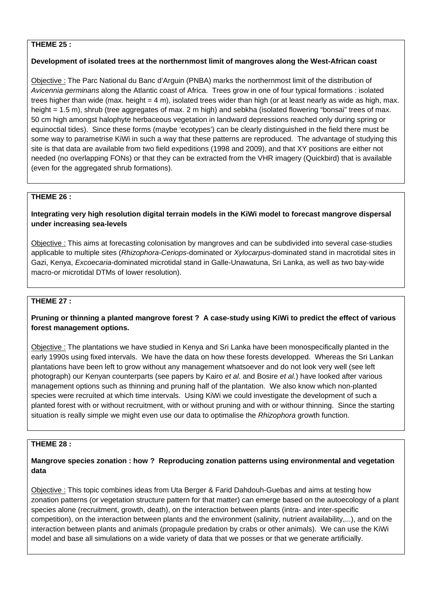# **THEME 25 :**

### **Development of isolated trees at the northernmost limit of mangroves along the West-African coast**

Objective : The Parc National du Banc d'Arguin (PNBA) marks the northernmost limit of the distribution of *Avicennia germinans* along the Atlantic coast of Africa. Trees grow in one of four typical formations : isolated trees higher than wide (max. height  $= 4$  m), isolated trees wider than high (or at least nearly as wide as high, max. height = 1.5 m), shrub (tree aggregates of max. 2 m high) and sebkha (isolated flowering "bonsai" trees of max. 50 cm high amongst halophyte herbaceous vegetation in landward depressions reached only during spring or equinoctial tides). Since these forms (maybe 'ecotypes') can be clearly distinguished in the field there must be some way to parametrise KiWi in such a way that these patterns are reproduced. The advantage of studying this site is that data are available from two field expeditions (1998 and 2009), and that XY positions are either not needed (no overlapping FONs) or that they can be extracted from the VHR imagery (Quickbird) that is available (even for the aggregated shrub formations).

# **THEME 26 :**

# **Integrating very high resolution digital terrain models in the KiWi model to forecast mangrove dispersal under increasing sea-levels**

Objective : This aims at forecasting colonisation by mangroves and can be subdivided into several case-studies applicable to multiple sites (*Rhizophora-Ceriops*-dominated or *Xylocarpus*-dominated stand in macrotidal sites in Gazi, Kenya, *Excoecaria*-dominated microtidal stand in Galle-Unawatuna, Sri Lanka, as well as two bay-wide macro-or microtidal DTMs of lower resolution).

# **THEME 27 :**

# **Pruning or thinning a planted mangrove forest ? A case-study using KiWi to predict the effect of various forest management options.**

Objective : The plantations we have studied in Kenya and Sri Lanka have been monospecifically planted in the early 1990s using fixed intervals. We have the data on how these forests developped. Whereas the Sri Lankan plantations have been left to grow without any management whatsoever and do not look very well (see left photograph) our Kenyan counterparts (see papers by Kairo *et al.* and Bosire *et al.*) have looked after various management options such as thinning and pruning half of the plantation. We also know which non-planted species were recruited at which time intervals. Using KiWi we could investigate the development of such a planted forest with or without recruitment, with or without pruning and with or withour thinning. Since the starting situation is really simple we might even use our data to optimalise the *Rhizophora* growth function.

# **THEME 28 :**

# **Mangrove species zonation : how ? Reproducing zonation patterns using environmental and vegetation data**

Objective : This topic combines ideas from Uta Berger & Farid Dahdouh-Guebas and aims at testing how zonation patterns (or vegetation structure pattern for that matter) can emerge based on the autoecology of a plant species alone (recruitment, growth, death), on the interaction between plants (intra- and inter-specific competition), on the interaction between plants and the environment (salinity, nutrient availability,...), and on the interaction between plants and animals (propagule predation by crabs or other animals). We can use the KiWi model and base all simulations on a wide variety of data that we posses or that we generate artificially.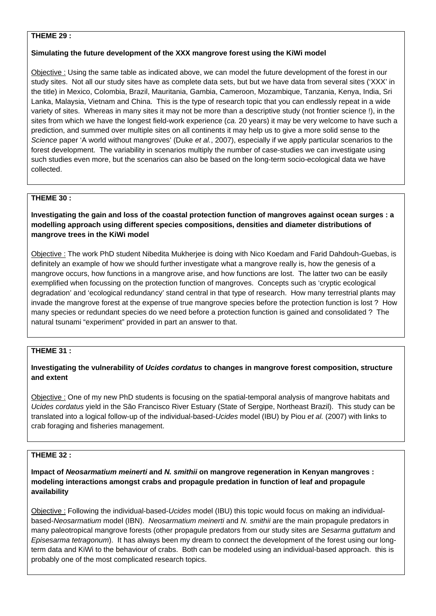#### **THEME 29 :**

#### **Simulating the future development of the XXX mangrove forest using the KiWi model**

Objective : Using the same table as indicated above, we can model the future development of the forest in our study sites. Not all our study sites have as complete data sets, but but we have data from several sites ('XXX' in the title) in Mexico, Colombia, Brazil, Mauritania, Gambia, Cameroon, Mozambique, Tanzania, Kenya, India, Sri Lanka, Malaysia, Vietnam and China. This is the type of research topic that you can endlessly repeat in a wide variety of sites. Whereas in many sites it may not be more than a descriptive study (not frontier science !), in the sites from which we have the longest field-work experience (*ca.* 20 years) it may be very welcome to have such a prediction, and summed over multiple sites on all continents it may help us to give a more solid sense to the *Science* paper 'A world without mangroves' (Duke *et al.*, 2007), especially if we apply particular scenarios to the forest development. The variability in scenarios multiply the number of case-studies we can investigate using such studies even more, but the scenarios can also be based on the long-term socio-ecological data we have collected.

# **THEME 30 :**

**Investigating the gain and loss of the coastal protection function of mangroves against ocean surges : a modelling approach using different species compositions, densities and diameter distributions of mangrove trees in the KiWi model** 

Objective : The work PhD student Nibedita Mukherjee is doing with Nico Koedam and Farid Dahdouh-Guebas, is definitely an example of how we should further investigate what a mangrove really is, how the genesis of a mangrove occurs, how functions in a mangrove arise, and how functions are lost. The latter two can be easily exemplified when focussing on the protection function of mangroves. Concepts such as 'cryptic ecological degradation' and 'ecological redundancy' stand central in that type of research. How many terrestrial plants may invade the mangrove forest at the expense of true mangrove species before the protection function is lost ? How many species or redundant species do we need before a protection function is gained and consolidated ? The natural tsunami "experiment" provided in part an answer to that.

# **THEME 31 :**

# **Investigating the vulnerability of** *Ucides cordatus* **to changes in mangrove forest composition, structure and extent**

Objective : One of my new PhD students is focusing on the spatial-temporal analysis of mangrove habitats and *Ucides cordatus* yield in the São Francisco River Estuary (State of Sergipe, Northeast Brazil). This study can be translated into a logical follow-up of the individual-based-*Ucides* model (IBU) by Piou *et al.* (2007) with links to crab foraging and fisheries management.

# **THEME 32 :**

**Impact of** *Neosarmatium meinerti* **and** *N. smithii* **on mangrove regeneration in Kenyan mangroves : modeling interactions amongst crabs and propagule predation in function of leaf and propagule availability** 

Objective : Following the individual-based-*Ucides* model (IBU) this topic would focus on making an individualbased-*Neosarmatium* model (IBN). *Neosarmatium meinerti* and *N. smithii* are the main propagule predators in many paleotropical mangrove forests (other propagule predators from our study sites are *Sesarma guttatum* and *Episesarma tetragonum*). It has always been my dream to connect the development of the forest using our longterm data and KiWi to the behaviour of crabs. Both can be modeled using an individual-based approach. this is probably one of the most complicated research topics.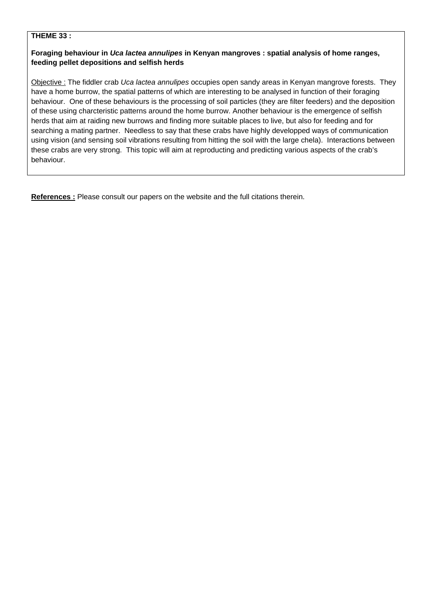### **THEME 33 :**

# **Foraging behaviour in** *Uca lactea annulipes* **in Kenyan mangroves : spatial analysis of home ranges, feeding pellet depositions and selfish herds**

Objective : The fiddler crab *Uca lactea annulipes* occupies open sandy areas in Kenyan mangrove forests. They have a home burrow, the spatial patterns of which are interesting to be analysed in function of their foraging behaviour. One of these behaviours is the processing of soil particles (they are filter feeders) and the deposition of these using charcteristic patterns around the home burrow. Another behaviour is the emergence of selfish herds that aim at raiding new burrows and finding more suitable places to live, but also for feeding and for searching a mating partner. Needless to say that these crabs have highly developped ways of communication using vision (and sensing soil vibrations resulting from hitting the soil with the large chela). Interactions between these crabs are very strong. This topic will aim at reproducting and predicting various aspects of the crab's behaviour.

**References :** Please consult our papers on the website and the full citations therein.